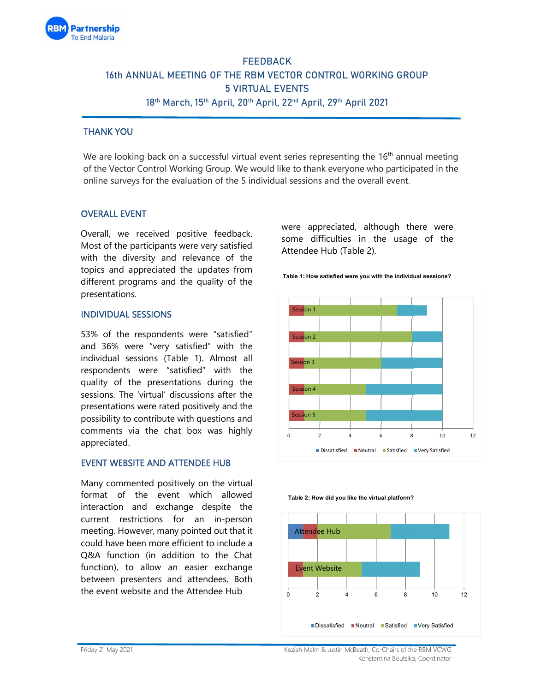

# **FEEDBACK 16th ANNUAL MEETING OF THE RBM VECTOR CONTROL WORKING GROUP 5 VIRTUAL EVENTS 18th March, 15th April, 20th April, 22nd April, 29th April 2021**

## THANK YOU

We are looking back on a successful virtual event series representing the  $16<sup>th</sup>$  annual meeting of the Vector Control Working Group. We would like to thank everyone who participated in the online surveys for the evaluation of the 5 individual sessions and the overall event.

## OVERALL EVENT

Overall, we received positive feedback. Most of the participants were very satisfied with the diversity and relevance of the topics and appreciated the updates from different programs and the quality of the presentations.

#### INDIVIDUAL SESSIONS

53% of the respondents were "satisfied" and 36% were "very satisfied" with the individual sessions (Table 1). Almost all respondents were "satisfied" with the quality of the presentations during the sessions. The 'virtual' discussions after the presentations were rated positively and the possibility to contribute with questions and comments via the chat box was highly appreciated.

#### EVENT WEBSITE AND ATTENDEE HUB

Many commented positively on the virtual format of the event which allowed interaction and exchange despite the current restrictions for an in-person meeting. However, many pointed out that it could have been more efficient to include a Q&A function (in addition to the Chat function), to allow an easier exchange between presenters and attendees. Both the event website and the Attendee Hub

were appreciated, although there were some difficulties in the usage of the Attendee Hub (Table 2).